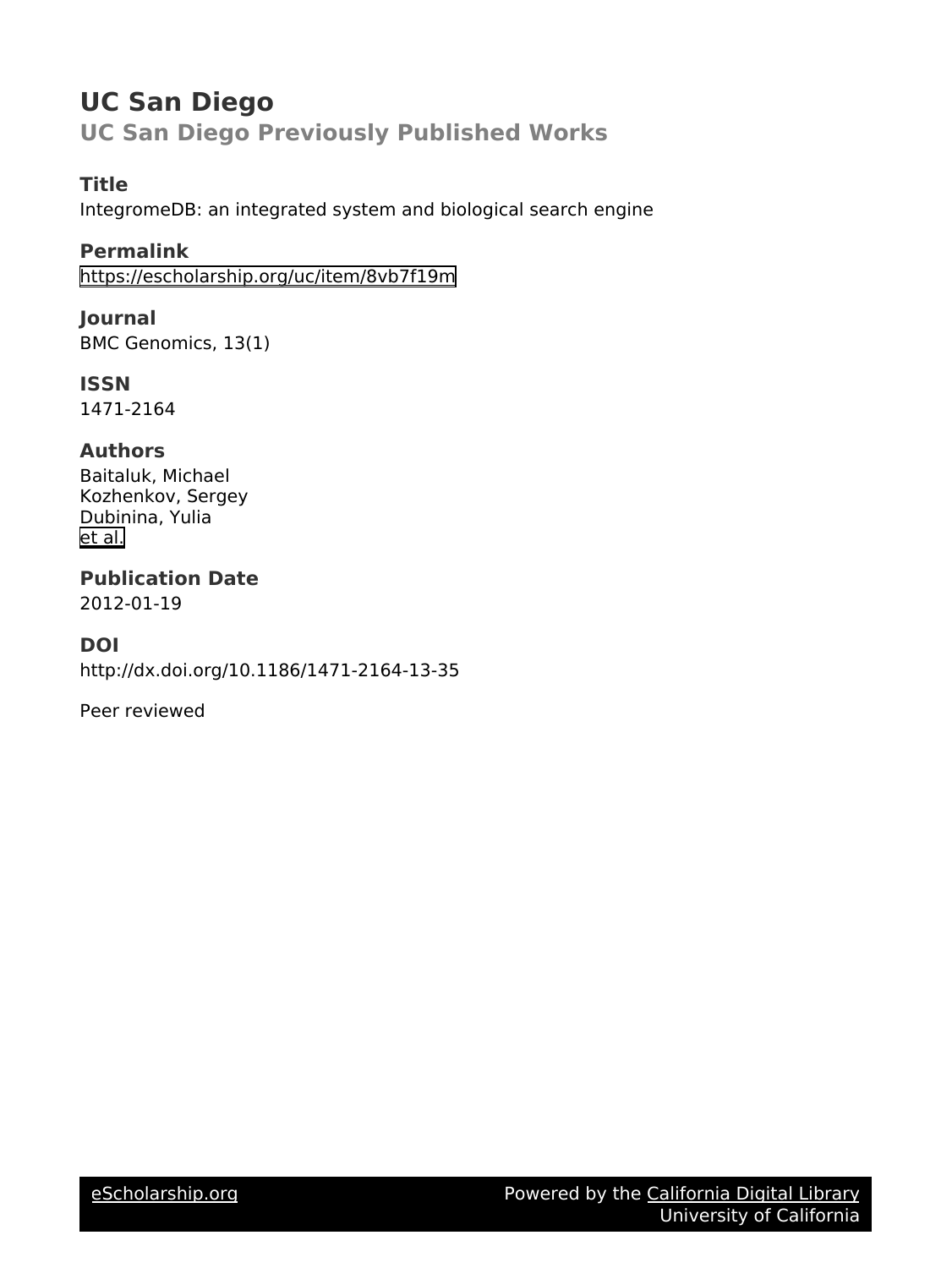# **UC San Diego UC San Diego Previously Published Works**

## **Title**

IntegromeDB: an integrated system and biological search engine

## **Permalink**

<https://escholarship.org/uc/item/8vb7f19m>

### **Journal** BMC Genomics, 13(1)

**ISSN**

## 1471-2164

## **Authors**

Baitaluk, Michael Kozhenkov, Sergey Dubinina, Yulia [et al.](https://escholarship.org/uc/item/8vb7f19m#author)

## **Publication Date** 2012-01-19

## **DOI**

http://dx.doi.org/10.1186/1471-2164-13-35

Peer reviewed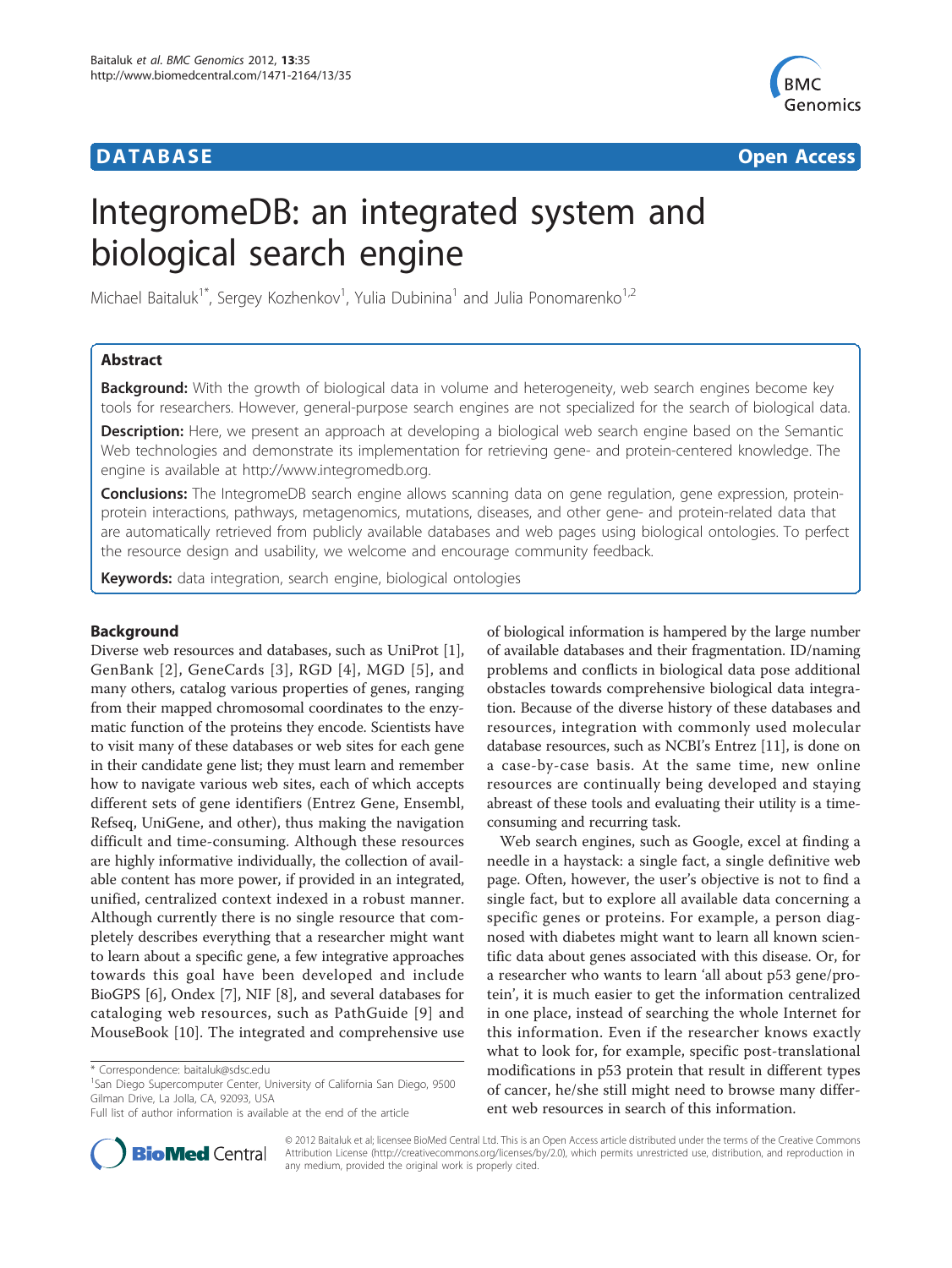## **DATABASE CONSUMING A EXAMPLE AND SERVICE SERVICES COPEN ACCESS**



# IntegromeDB: an integrated system and biological search engine

Michael Baitaluk<sup>1\*</sup>, Sergey Kozhenkov<sup>1</sup>, Yulia Dubinina<sup>1</sup> and Julia Ponomarenko<sup>1,2</sup>

#### Abstract

**Background:** With the growth of biological data in volume and heterogeneity, web search engines become key tools for researchers. However, general-purpose search engines are not specialized for the search of biological data.

Description: Here, we present an approach at developing a biological web search engine based on the Semantic Web technologies and demonstrate its implementation for retrieving gene- and protein-centered knowledge. The engine is available at [http://www.integromedb.org.](http://www.integromedb.org)

Conclusions: The IntegromeDB search engine allows scanning data on gene regulation, gene expression, proteinprotein interactions, pathways, metagenomics, mutations, diseases, and other gene- and protein-related data that are automatically retrieved from publicly available databases and web pages using biological ontologies. To perfect the resource design and usability, we welcome and encourage community feedback.

Keywords: data integration, search engine, biological ontologies

#### Background

Diverse web resources and databases, such as UniProt [1], GenBank [2], GeneCards [3], RGD [4], MGD [5], and many others, catalog various properties of genes, ranging from their mapped chromosomal coordinates to the enzymatic function of the proteins they encode. Scientists have to visit many of these databases or web sites for each gene in their candidate gene list; they must learn and remember how to navigate various web sites, each of which accepts different sets of gene identifiers (Entrez Gene, Ensembl, Refseq, UniGene, and other), thus making the navigation difficult and time-consuming. Although these resources are highly informative individually, the collection of available content has more power, if provided in an integrated, unified, centralized context indexed in a robust manner. Although currently there is no single resource that completely describes everything that a researcher might want to learn about a specific gene, a few integrative approaches towards this goal have been developed and include BioGPS [6], Ondex [7], NIF [8], and several databases for cataloging web resources, such as PathGuide [9] and MouseBook [10]. The integrated and comprehensive use



Web search engines, such as Google, excel at finding a needle in a haystack: a single fact, a single definitive web page. Often, however, the user's objective is not to find a single fact, but to explore all available data concerning a specific genes or proteins. For example, a person diagnosed with diabetes might want to learn all known scientific data about genes associated with this disease. Or, for a researcher who wants to learn 'all about p53 gene/protein', it is much easier to get the information centralized in one place, instead of searching the whole Internet for this information. Even if the researcher knows exactly what to look for, for example, specific post-translational modifications in p53 protein that result in different types of cancer, he/she still might need to browse many different web resources in search of this information.



© 2012 Baitaluk et al; licensee BioMed Central Ltd. This is an Open Access article distributed under the terms of the Creative Commons Attribution License [\(http://creativecommons.org/licenses/by/2.0](http://creativecommons.org/licenses/by/2.0)), which permits unrestricted use, distribution, and reproduction in any medium, provided the original work is properly cited.

<sup>\*</sup> Correspondence: [baitaluk@sdsc.edu](mailto:baitaluk@sdsc.edu)

<sup>&</sup>lt;sup>1</sup>San Diego Supercomputer Center, University of California San Diego, 9500 Gilman Drive, La Jolla, CA, 92093, USA

Full list of author information is available at the end of the article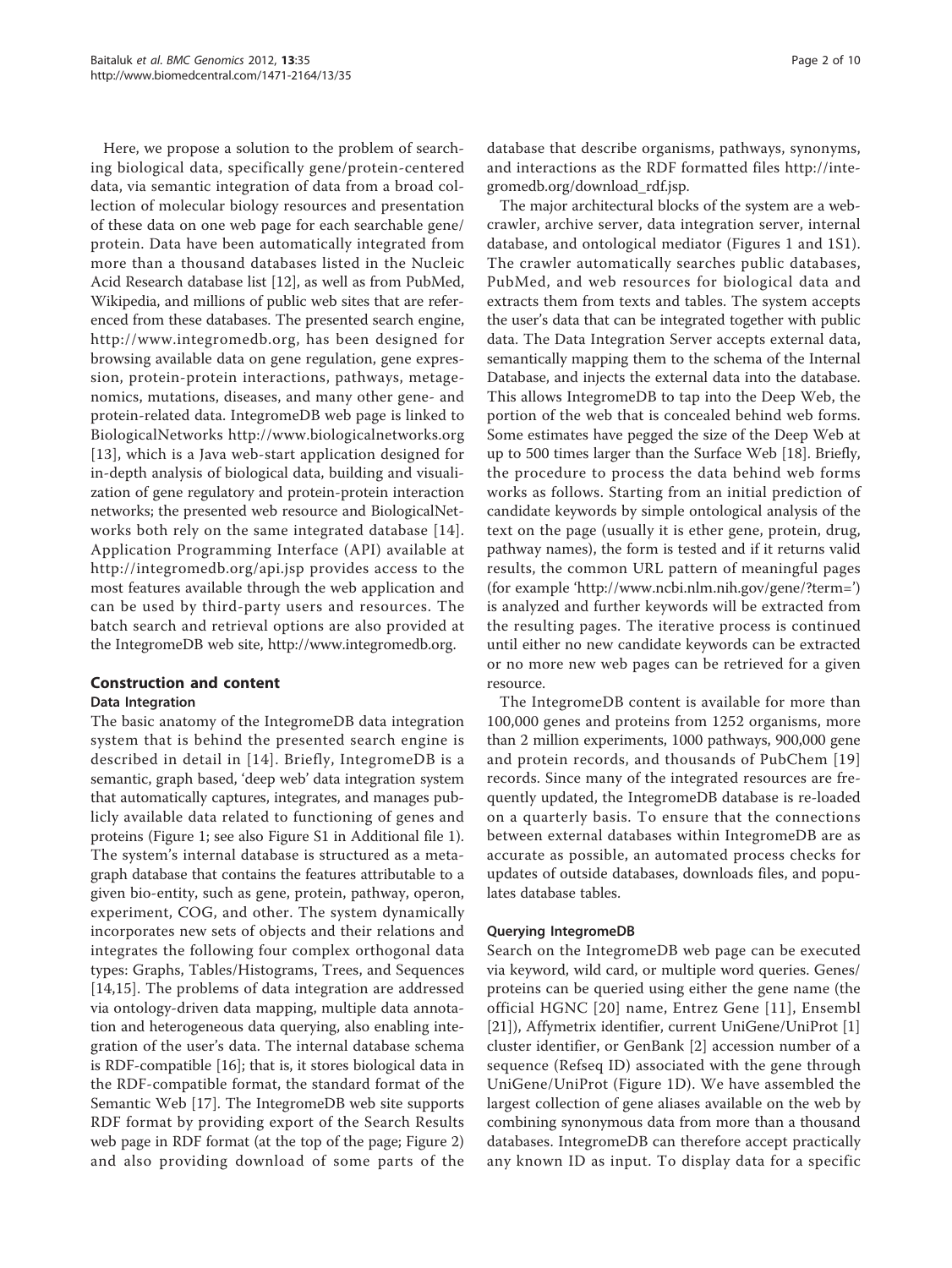Here, we propose a solution to the problem of searching biological data, specifically gene/protein-centered data, via semantic integration of data from a broad collection of molecular biology resources and presentation of these data on one web page for each searchable gene/ protein. Data have been automatically integrated from more than a thousand databases listed in the Nucleic Acid Research database list [12], as well as from PubMed, Wikipedia, and millions of public web sites that are referenced from these databases. The presented search engine, <http://www.integromedb.org>, has been designed for browsing available data on gene regulation, gene expression, protein-protein interactions, pathways, metagenomics, mutations, diseases, and many other gene- and protein-related data. IntegromeDB web page is linked to BiologicalNetworks<http://www.biologicalnetworks.org> [13], which is a Java web-start application designed for in-depth analysis of biological data, building and visualization of gene regulatory and protein-protein interaction networks; the presented web resource and BiologicalNetworks both rely on the same integrated database [14]. Application Programming Interface (API) available at <http://integromedb.org/api.jsp> provides access to the most features available through the web application and can be used by third-party users and resources. The batch search and retrieval options are also provided at the IntegromeDB web site, [http://www.integromedb.org.](http://www.integromedb.org)

#### Construction and content

#### Data Integration

The basic anatomy of the IntegromeDB data integration system that is behind the presented search engine is described in detail in [14]. Briefly, IntegromeDB is a semantic, graph based, 'deep web' data integration system that automatically captures, integrates, and manages publicly available data related to functioning of genes and proteins (Figure [1](#page-3-0); see also Figure S1 in Additional file [1](#page-9-0)). The system's internal database is structured as a metagraph database that contains the features attributable to a given bio-entity, such as gene, protein, pathway, operon, experiment, COG, and other. The system dynamically incorporates new sets of objects and their relations and integrates the following four complex orthogonal data types: Graphs, Tables/Histograms, Trees, and Sequences [14,15]. The problems of data integration are addressed via ontology-driven data mapping, multiple data annotation and heterogeneous data querying, also enabling integration of the user's data. The internal database schema is RDF-compatible [16]; that is, it stores biological data in the RDF-compatible format, the standard format of the Semantic Web [17]. The IntegromeDB web site supports RDF format by providing export of the Search Results web page in RDF format (at the top of the page; Figure [2](#page-4-0)) and also providing download of some parts of the database that describe organisms, pathways, synonyms, and interactions as the RDF formatted files [http://inte](http://integromedb.org/download_rdf.jsp)[gromedb.org/download\\_rdf.jsp.](http://integromedb.org/download_rdf.jsp)

The major architectural blocks of the system are a webcrawler, archive server, data integration server, internal database, and ontological mediator (Figures [1](#page-3-0) and [1S](#page-3-0)1). The crawler automatically searches public databases, PubMed, and web resources for biological data and extracts them from texts and tables. The system accepts the user's data that can be integrated together with public data. The Data Integration Server accepts external data, semantically mapping them to the schema of the Internal Database, and injects the external data into the database. This allows IntegromeDB to tap into the Deep Web, the portion of the web that is concealed behind web forms. Some estimates have pegged the size of the Deep Web at up to 500 times larger than the Surface Web [18]. Briefly, the procedure to process the data behind web forms works as follows. Starting from an initial prediction of candidate keywords by simple ontological analysis of the text on the page (usually it is ether gene, protein, drug, pathway names), the form is tested and if it returns valid results, the common URL pattern of meaningful pages (for example '<http://www.ncbi.nlm.nih.gov/gene/?term=>') is analyzed and further keywords will be extracted from the resulting pages. The iterative process is continued until either no new candidate keywords can be extracted or no more new web pages can be retrieved for a given resource.

The IntegromeDB content is available for more than 100,000 genes and proteins from 1252 organisms, more than 2 million experiments, 1000 pathways, 900,000 gene and protein records, and thousands of PubChem [19] records. Since many of the integrated resources are frequently updated, the IntegromeDB database is re-loaded on a quarterly basis. To ensure that the connections between external databases within IntegromeDB are as accurate as possible, an automated process checks for updates of outside databases, downloads files, and populates database tables.

#### Querying IntegromeDB

Search on the IntegromeDB web page can be executed via keyword, wild card, or multiple word queries. Genes/ proteins can be queried using either the gene name (the official HGNC [20] name, Entrez Gene [11], Ensembl [21]), Affymetrix identifier, current UniGene/UniProt [1] cluster identifier, or GenBank [2] accession number of a sequence (Refseq ID) associated with the gene through UniGene/UniProt (Figure [1D\)](#page-3-0). We have assembled the largest collection of gene aliases available on the web by combining synonymous data from more than a thousand databases. IntegromeDB can therefore accept practically any known ID as input. To display data for a specific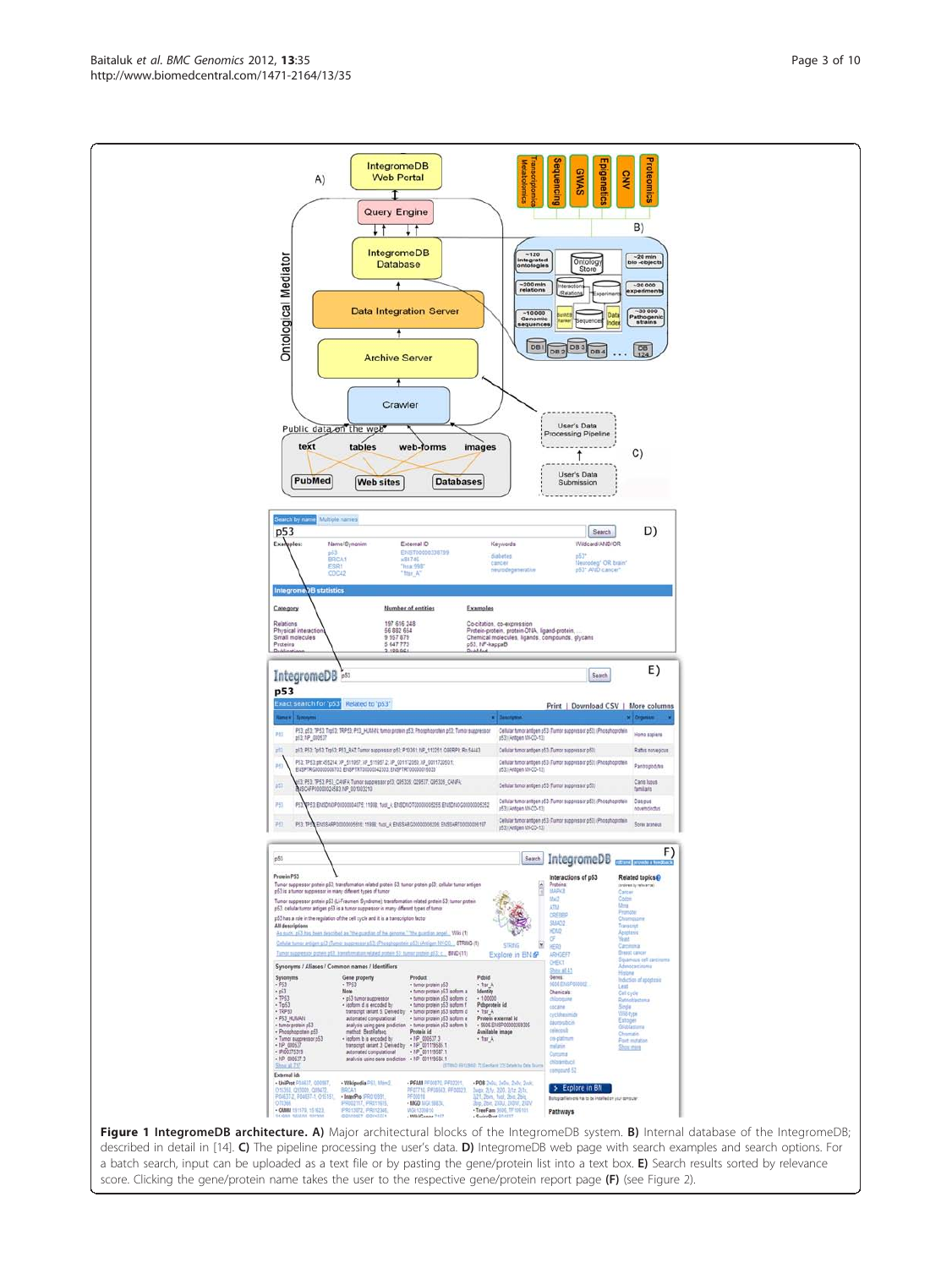Figure 1 IntegromeDB architecture. A) Major architectural blocks of the IntegromeDB system. B) Internal database of the IntegromeDB; described in detail in [14]. C) The pipeline processing the user's data. D) IntegromeDB web page with search examples and search options. For a batch search, input can be uploaded as a text file or by pasting the gene/protein list into a text box. E) Search results sorted by relevance score. Clicking the gene/protein name takes the user to the respective gene/protein report page (F) (see Figure 2).

· TreeFan

CO STRING (1)

Explore in BN &

nteractions of p53

> Explore in BN

Pathways

Related topics@

<span id="page-3-0"></span>

Protein P53

 $\frac{Sym}{PS}$ 

- OUIS 191170, 151623.

-<br>Tumor suppressor protein p53, transformation related protein 53, tumor protein p53, cellular tumor antige<br>p53 is a tumor suppressor in many different types of tumor  $\frac{1}{2}$  as a tumor suggestate on many different fypes of tumor<br>Tumor suggestate proteins (3.0 Lif-Taurunal Systematic) standardizes related protein 3.3, nonce prot<br> $\frac{1}{2}$ (3.0 as a trivia man and gaps (3.0 is humor su

> encoded b<br>rant 6. De analysis using gene pred<br>mathod: RestRatean is encoded by<br>variant 3. Der

· InterPro :PRO10991

PRO13072, PRO1234

 $^{16}$  000

**ENGO MOLSKEN** 

nor antigen of 2 (Tumor suppressive aST). (Phose Turner pappressor putting p53, transformation related protein 53; turner protein p53; c. BWD (11)

Synonyms / Aliases / Common names / Identifiers Gene property<br>• TP53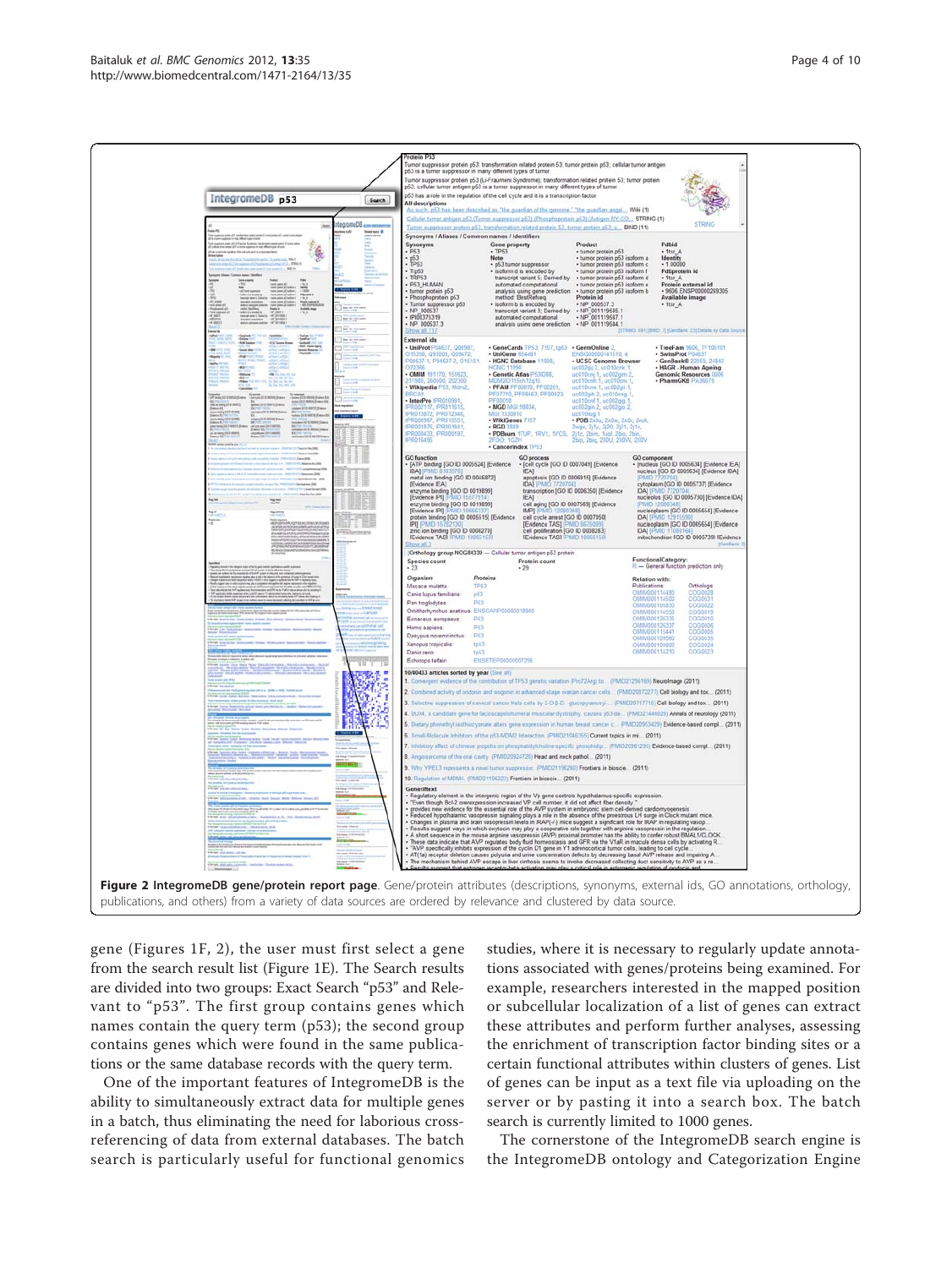gene (Figures [1F,](#page-3-0) 2), the user must first select a gene from the search result list (Figure [1E\)](#page-3-0). The Search results are divided into two groups: Exact Search "p53" and Relevant to "p53". The first group contains genes which names contain the query term (p53); the second group contains genes which were found in the same publications or the same database records with the query term.

One of the important features of IntegromeDB is the ability to simultaneously extract data for multiple genes in a batch, thus eliminating the need for laborious crossreferencing of data from external databases. The batch search is particularly useful for functional genomics studies, where it is necessary to regularly update annotations associated with genes/proteins being examined. For example, researchers interested in the mapped position or subcellular localization of a list of genes can extract these attributes and perform further analyses, assessing the enrichment of transcription factor binding sites or a certain functional attributes within clusters of genes. List of genes can be input as a text file via uploading on the server or by pasting it into a search box. The batch search is currently limited to 1000 genes.

The cornerstone of the IntegromeDB search engine is the IntegromeDB ontology and Categorization Engine

<span id="page-4-0"></span>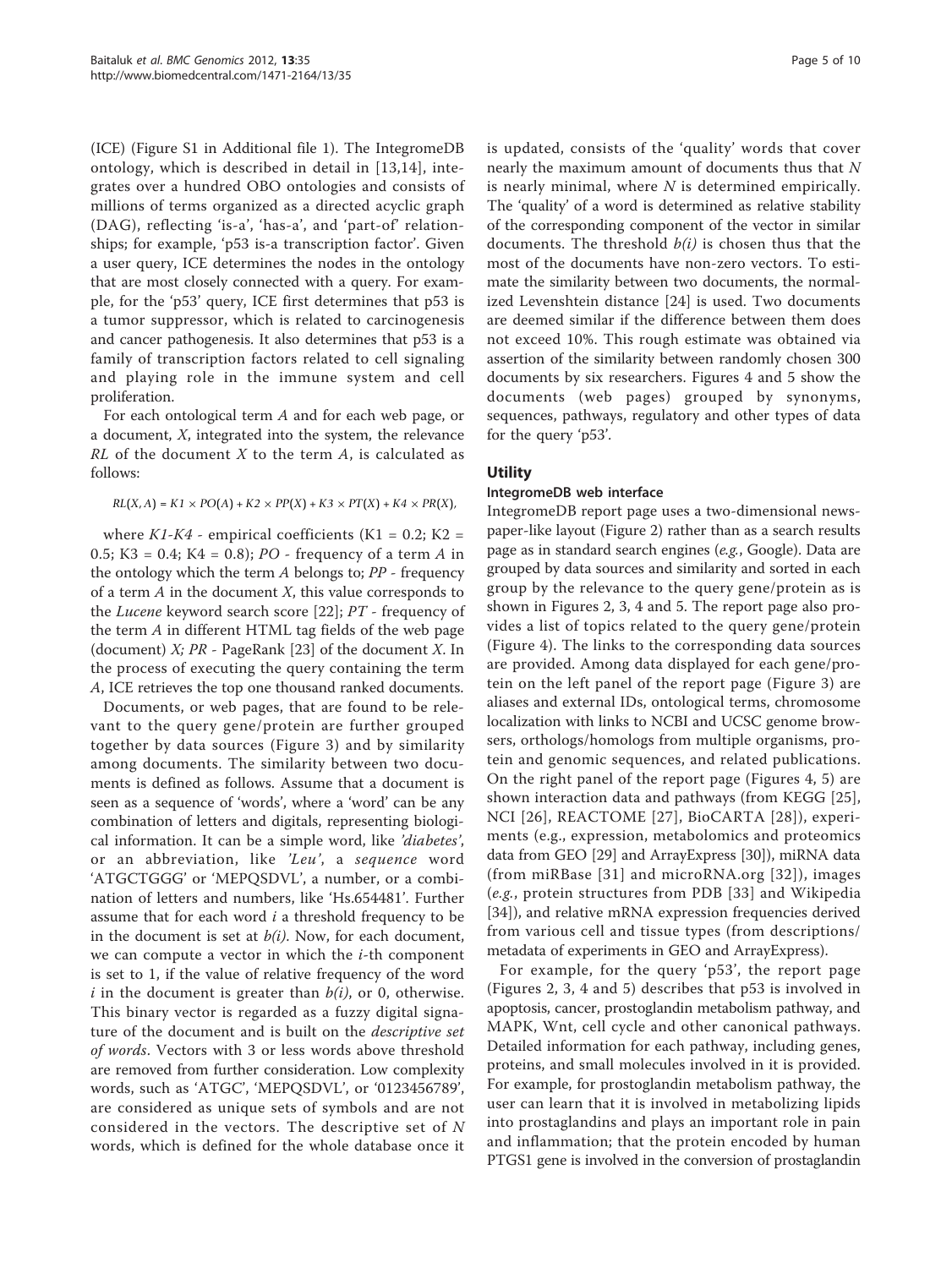(ICE) (Figure S1 in Additional file [1\)](#page-9-0). The IntegromeDB ontology, which is described in detail in [13,14], integrates over a hundred OBO ontologies and consists of millions of terms organized as a directed acyclic graph (DAG), reflecting 'is-a', 'has-a', and 'part-of' relationships; for example, 'p53 is-a transcription factor'. Given a user query, ICE determines the nodes in the ontology that are most closely connected with a query. For example, for the 'p53' query, ICE first determines that p53 is a tumor suppressor, which is related to carcinogenesis and cancer pathogenesis. It also determines that p53 is a family of transcription factors related to cell signaling and playing role in the immune system and cell proliferation.

For each ontological term A and for each web page, or a document, X, integrated into the system, the relevance  $RL$  of the document  $X$  to the term  $A$ , is calculated as follows:

$$
RL(X, A) = K1 \times PO(A) + K2 \times PP(X) + K3 \times PT(X) + K4 \times PR(X),
$$

where  $K1-K4$  - empirical coefficients (K1 = 0.2; K2 = 0.5; K3 = 0.4; K4 = 0.8); PO - frequency of a term A in the ontology which the term  $A$  belongs to;  $PP$  - frequency of a term  $A$  in the document  $X$ , this value corresponds to the Lucene keyword search score [22]; PT - frequency of the term A in different HTML tag fields of the web page (document)  $X$ ; PR - PageRank [23] of the document X. In the process of executing the query containing the term A, ICE retrieves the top one thousand ranked documents.

Documents, or web pages, that are found to be relevant to the query gene/protein are further grouped together by data sources (Figure [3](#page-6-0)) and by similarity among documents. The similarity between two documents is defined as follows. Assume that a document is seen as a sequence of 'words', where a 'word' can be any combination of letters and digitals, representing biological information. It can be a simple word, like 'diabetes', or an abbreviation, like 'Leu', a sequence word 'ATGCTGGG' or 'MEPQSDVL', a number, or a combination of letters and numbers, like 'Hs.654481'. Further assume that for each word  $i$  a threshold frequency to be in the document is set at  $b(i)$ . Now, for each document, we can compute a vector in which the  $i$ -th component is set to 1, if the value of relative frequency of the word *i* in the document is greater than  $b(i)$ , or 0, otherwise. This binary vector is regarded as a fuzzy digital signature of the document and is built on the *descriptive set* of words. Vectors with 3 or less words above threshold are removed from further consideration. Low complexity words, such as 'ATGC', 'MEPQSDVL', or '0123456789', are considered as unique sets of symbols and are not considered in the vectors. The descriptive set of N words, which is defined for the whole database once it is updated, consists of the 'quality' words that cover nearly the maximum amount of documents thus that N is nearly minimal, where  $N$  is determined empirically. The 'quality' of a word is determined as relative stability of the corresponding component of the vector in similar documents. The threshold  $b(i)$  is chosen thus that the most of the documents have non-zero vectors. To estimate the similarity between two documents, the normalized Levenshtein distance [24] is used. Two documents are deemed similar if the difference between them does not exceed 10%. This rough estimate was obtained via assertion of the similarity between randomly chosen 300 documents by six researchers. Figures [4](#page-7-0) and [5](#page-7-0) show the documents (web pages) grouped by synonyms, sequences, pathways, regulatory and other types of data for the query 'p53'.

#### **Utility**

#### IntegromeDB web interface

IntegromeDB report page uses a two-dimensional newspaper-like layout (Figure [2\)](#page-4-0) rather than as a search results page as in standard search engines (e.g., Google). Data are grouped by data sources and similarity and sorted in each group by the relevance to the query gene/protein as is shown in Figures [2,](#page-4-0) [3](#page-6-0), [4](#page-7-0) and [5](#page-7-0). The report page also provides a list of topics related to the query gene/protein (Figure [4\)](#page-7-0). The links to the corresponding data sources are provided. Among data displayed for each gene/protein on the left panel of the report page (Figure [3](#page-6-0)) are aliases and external IDs, ontological terms, chromosome localization with links to NCBI and UCSC genome browsers, orthologs/homologs from multiple organisms, protein and genomic sequences, and related publications. On the right panel of the report page (Figures [4, 5](#page-7-0)) are shown interaction data and pathways (from KEGG [25], NCI [26], REACTOME [27], BioCARTA [28]), experiments (e.g., expression, metabolomics and proteomics data from GEO [29] and ArrayExpress [30]), miRNA data (from miRBase [31] and microRNA.org [32]), images (e.g., protein structures from PDB [33] and Wikipedia [34]), and relative mRNA expression frequencies derived from various cell and tissue types (from descriptions/ metadata of experiments in GEO and ArrayExpress).

For example, for the query 'p53', the report page (Figures [2](#page-4-0), [3,](#page-6-0) [4](#page-7-0) and [5\)](#page-7-0) describes that p53 is involved in apoptosis, cancer, prostoglandin metabolism pathway, and MAPK, Wnt, cell cycle and other canonical pathways. Detailed information for each pathway, including genes, proteins, and small molecules involved in it is provided. For example, for prostoglandin metabolism pathway, the user can learn that it is involved in metabolizing lipids into prostaglandins and plays an important role in pain and inflammation; that the protein encoded by human PTGS1 gene is involved in the conversion of prostaglandin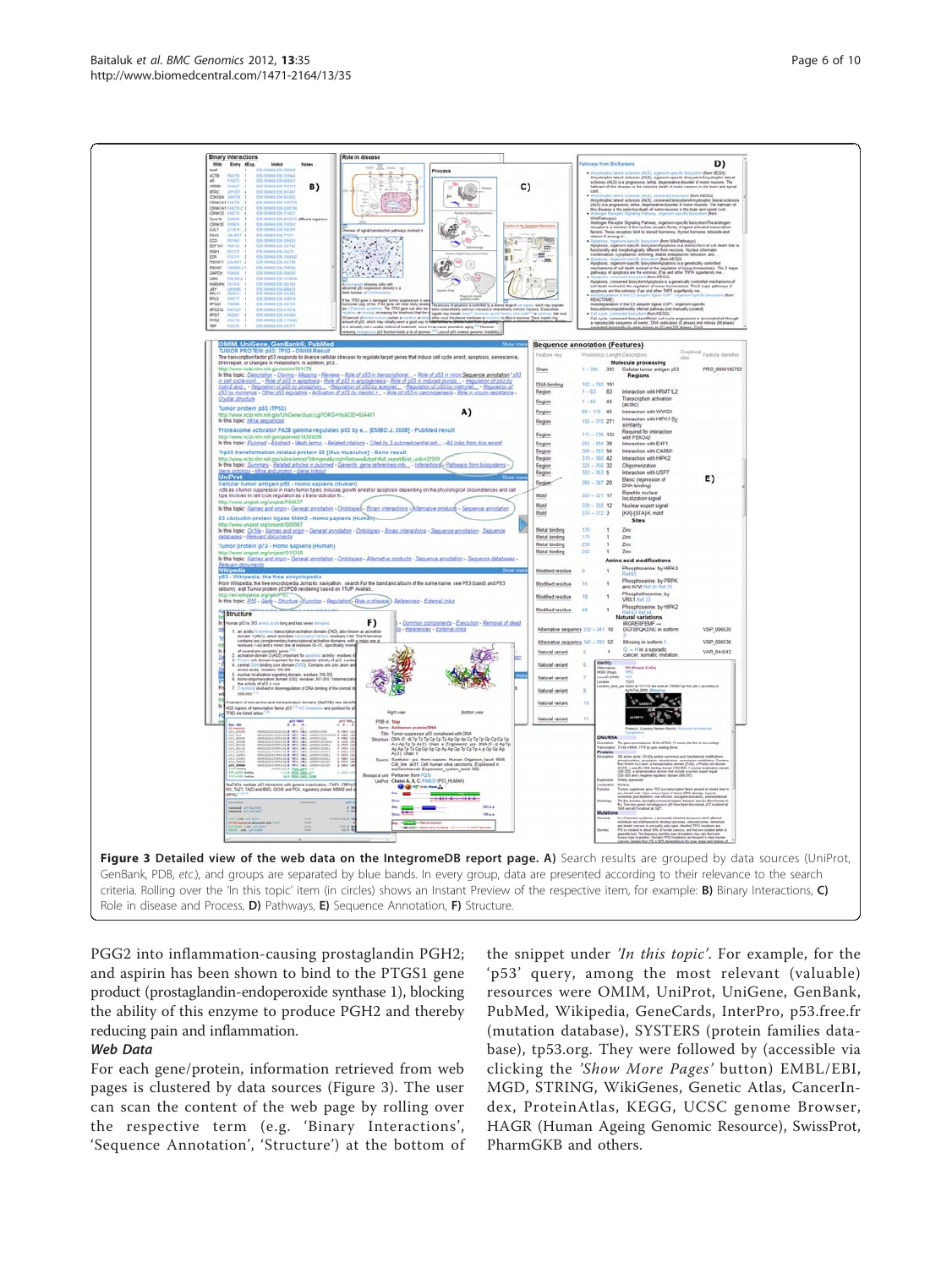PGG2 into inflammation-causing prostaglandin PGH2; and aspirin has been shown to bind to the PTGS1 gene product (prostaglandin-endoperoxide synthase 1), blocking the ability of this enzyme to produce PGH2 and thereby reducing pain and inflammation.

#### Web Data

For each gene/protein, information retrieved from web pages is clustered by data sources (Figure 3). The user can scan the content of the web page by rolling over the respective term (e.g. 'Binary Interactions', 'Sequence Annotation', 'Structure') at the bottom of the snippet under *'In this topic'*. For example, for the 'p53' query, among the most relevant (valuable) resources were OMIM, UniProt, UniGene, GenBank, PubMed, Wikipedia, GeneCards, InterPro, p53.free.fr (mutation database), SYSTERS (protein families database), tp53.org. They were followed by (accessible via clicking the 'Show More Pages' button) EMBL/EBI, MGD, STRING, WikiGenes, Genetic Atlas, CancerIndex, ProteinAtlas, KEGG, UCSC genome Browser, HAGR (Human Ageing Genomic Resource), SwissProt, PharmGKB and others.

<span id="page-6-0"></span>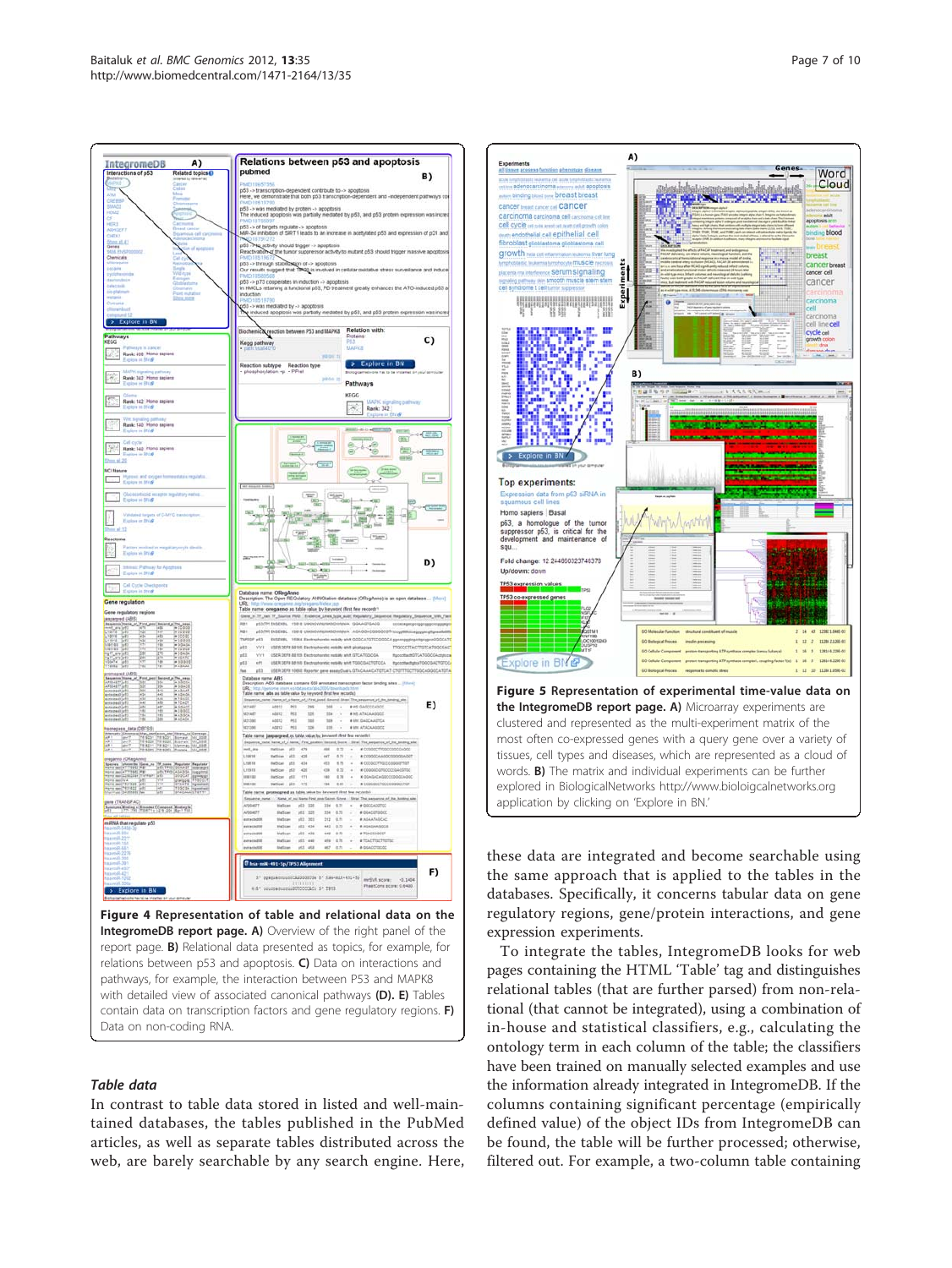#### <span id="page-7-0"></span>Baitaluk et al. BMC Genomics 2012, 13:35 http://www.biomedcentral.com/1471-2164/13/35



#### Table data

In contrast to table data stored in listed and well-maintained databases, the tables published in the PubMed articles, as well as separate tables distributed across the web, are barely searchable by any search engine. Here,



these data are integrated and become searchable using the same approach that is applied to the tables in the databases. Specifically, it concerns tabular data on gene regulatory regions, gene/protein interactions, and gene expression experiments.

To integrate the tables, IntegromeDB looks for web pages containing the HTML 'Table' tag and distinguishes relational tables (that are further parsed) from non-relational (that cannot be integrated), using a combination of in-house and statistical classifiers, e.g., calculating the ontology term in each column of the table; the classifiers have been trained on manually selected examples and use the information already integrated in IntegromeDB. If the columns containing significant percentage (empirically defined value) of the object IDs from IntegromeDB can be found, the table will be further processed; otherwise, filtered out. For example, a two-column table containing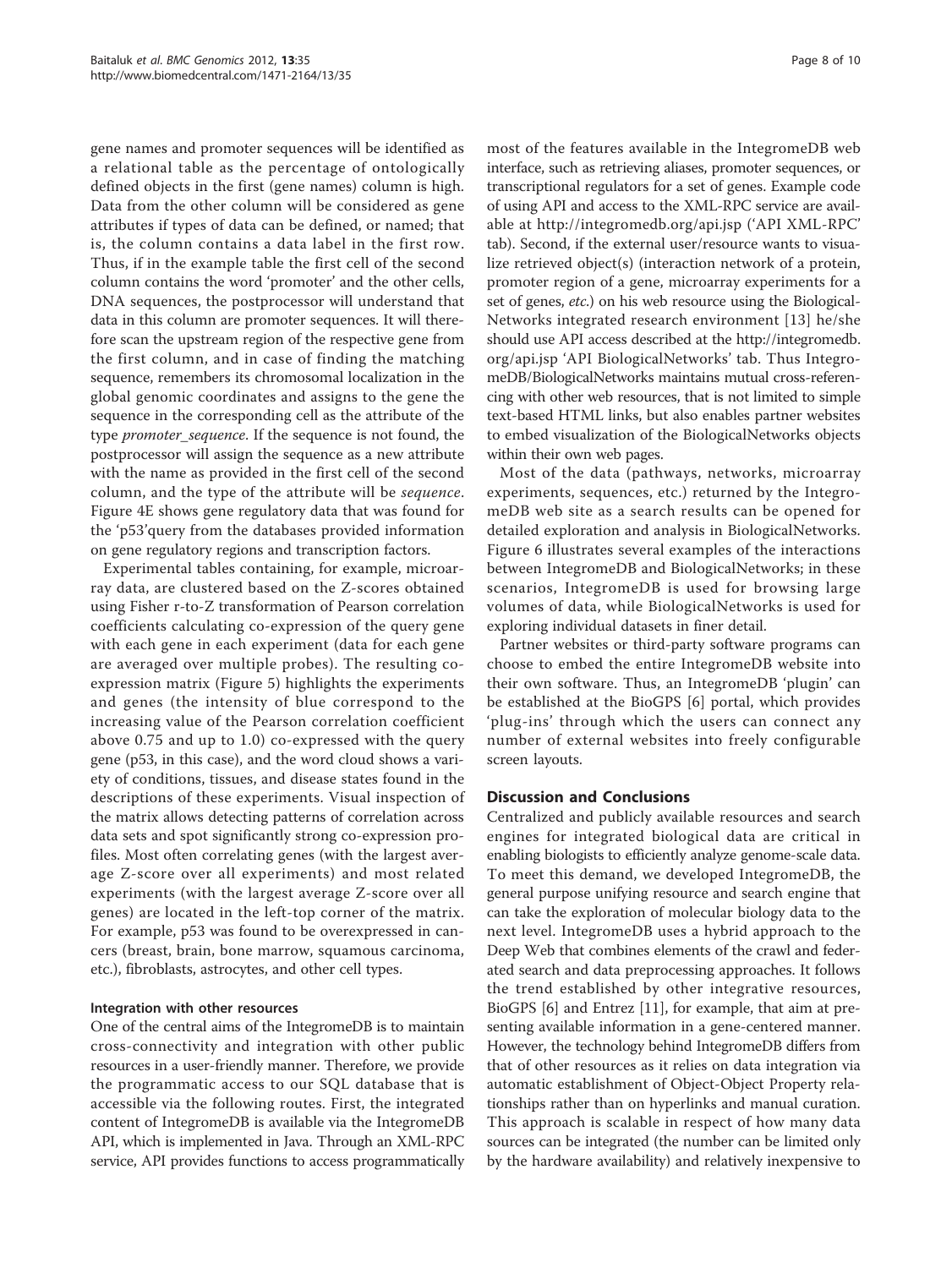gene names and promoter sequences will be identified as a relational table as the percentage of ontologically defined objects in the first (gene names) column is high. Data from the other column will be considered as gene attributes if types of data can be defined, or named; that is, the column contains a data label in the first row. Thus, if in the example table the first cell of the second column contains the word 'promoter' and the other cells, DNA sequences, the postprocessor will understand that data in this column are promoter sequences. It will therefore scan the upstream region of the respective gene from the first column, and in case of finding the matching sequence, remembers its chromosomal localization in the global genomic coordinates and assigns to the gene the sequence in the corresponding cell as the attribute of the type *promoter* sequence. If the sequence is not found, the postprocessor will assign the sequence as a new attribute with the name as provided in the first cell of the second column, and the type of the attribute will be sequence. Figure [4E](#page-7-0) shows gene regulatory data that was found for the 'p53'query from the databases provided information on gene regulatory regions and transcription factors.

Experimental tables containing, for example, microarray data, are clustered based on the Z-scores obtained using Fisher r-to-Z transformation of Pearson correlation coefficients calculating co-expression of the query gene with each gene in each experiment (data for each gene are averaged over multiple probes). The resulting coexpression matrix (Figure [5\)](#page-7-0) highlights the experiments and genes (the intensity of blue correspond to the increasing value of the Pearson correlation coefficient above 0.75 and up to 1.0) co-expressed with the query gene (p53, in this case), and the word cloud shows a variety of conditions, tissues, and disease states found in the descriptions of these experiments. Visual inspection of the matrix allows detecting patterns of correlation across data sets and spot significantly strong co-expression profiles. Most often correlating genes (with the largest average Z-score over all experiments) and most related experiments (with the largest average Z-score over all genes) are located in the left-top corner of the matrix. For example, p53 was found to be overexpressed in cancers (breast, brain, bone marrow, squamous carcinoma, etc.), fibroblasts, astrocytes, and other cell types.

#### Integration with other resources

One of the central aims of the IntegromeDB is to maintain cross-connectivity and integration with other public resources in a user-friendly manner. Therefore, we provide the programmatic access to our SQL database that is accessible via the following routes. First, the integrated content of IntegromeDB is available via the IntegromeDB API, which is implemented in Java. Through an XML-RPC service, API provides functions to access programmatically

most of the features available in the IntegromeDB web interface, such as retrieving aliases, promoter sequences, or transcriptional regulators for a set of genes. Example code of using API and access to the XML-RPC service are available at<http://integromedb.org/api.jsp> ('API XML-RPC' tab). Second, if the external user/resource wants to visualize retrieved object(s) (interaction network of a protein, promoter region of a gene, microarray experiments for a set of genes, etc.) on his web resource using the Biological-Networks integrated research environment [13] he/she should use API access described at the [http://integromedb.](http://integromedb.org/api.jsp) [org/api.jsp](http://integromedb.org/api.jsp) 'API BiologicalNetworks' tab. Thus IntegromeDB/BiologicalNetworks maintains mutual cross-referencing with other web resources, that is not limited to simple text-based HTML links, but also enables partner websites to embed visualization of the BiologicalNetworks objects within their own web pages.

Most of the data (pathways, networks, microarray experiments, sequences, etc.) returned by the IntegromeDB web site as a search results can be opened for detailed exploration and analysis in BiologicalNetworks. Figure [6](#page-9-0) illustrates several examples of the interactions between IntegromeDB and BiologicalNetworks; in these scenarios, IntegromeDB is used for browsing large volumes of data, while BiologicalNetworks is used for exploring individual datasets in finer detail.

Partner websites or third-party software programs can choose to embed the entire IntegromeDB website into their own software. Thus, an IntegromeDB 'plugin' can be established at the BioGPS [6] portal, which provides 'plug-ins' through which the users can connect any number of external websites into freely configurable screen layouts.

#### Discussion and Conclusions

Centralized and publicly available resources and search engines for integrated biological data are critical in enabling biologists to efficiently analyze genome-scale data. To meet this demand, we developed IntegromeDB, the general purpose unifying resource and search engine that can take the exploration of molecular biology data to the next level. IntegromeDB uses a hybrid approach to the Deep Web that combines elements of the crawl and federated search and data preprocessing approaches. It follows the trend established by other integrative resources, BioGPS [6] and Entrez [11], for example, that aim at presenting available information in a gene-centered manner. However, the technology behind IntegromeDB differs from that of other resources as it relies on data integration via automatic establishment of Object-Object Property relationships rather than on hyperlinks and manual curation. This approach is scalable in respect of how many data sources can be integrated (the number can be limited only by the hardware availability) and relatively inexpensive to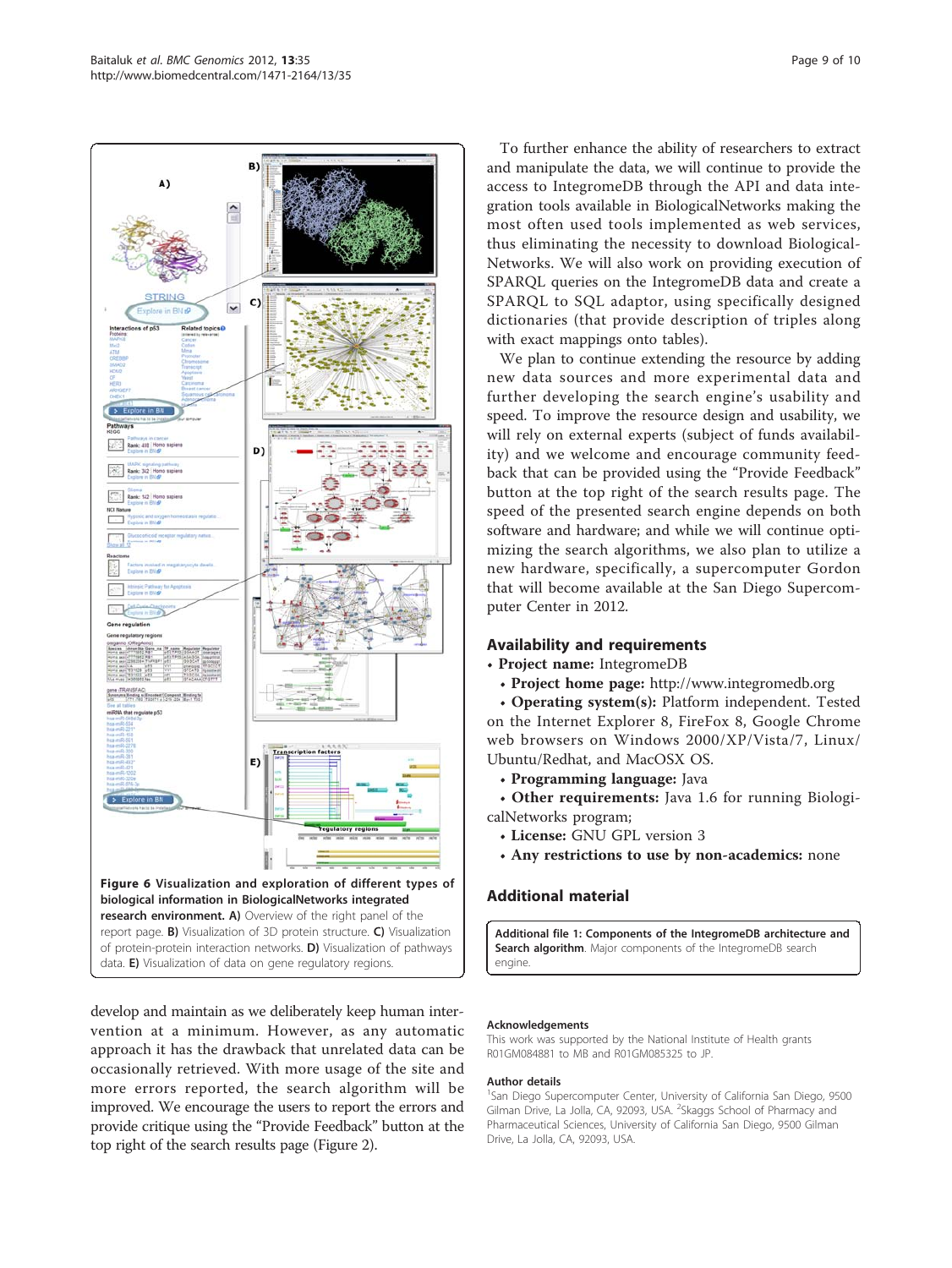<span id="page-9-0"></span>

develop and maintain as we deliberately keep human intervention at a minimum. However, as any automatic approach it has the drawback that unrelated data can be occasionally retrieved. With more usage of the site and more errors reported, the search algorithm will be improved. We encourage the users to report the errors and provide critique using the "Provide Feedback" button at the top right of the search results page (Figure [2](#page-4-0)).

To further enhance the ability of researchers to extract and manipulate the data, we will continue to provide the access to IntegromeDB through the API and data integration tools available in BiologicalNetworks making the most often used tools implemented as web services, thus eliminating the necessity to download Biological-Networks. We will also work on providing execution of SPARQL queries on the IntegromeDB data and create a SPARQL to SQL adaptor, using specifically designed dictionaries (that provide description of triples along with exact mappings onto tables).

We plan to continue extending the resource by adding new data sources and more experimental data and further developing the search engine's usability and speed. To improve the resource design and usability, we will rely on external experts (subject of funds availability) and we welcome and encourage community feedback that can be provided using the "Provide Feedback" button at the top right of the search results page. The speed of the presented search engine depends on both software and hardware; and while we will continue optimizing the search algorithms, we also plan to utilize a new hardware, specifically, a supercomputer Gordon that will become available at the San Diego Supercomputer Center in 2012.

#### Availability and requirements

• Project name: IntegromeDB

• Project home page: <http://www.integromedb.org>

• Operating system(s): Platform independent. Tested on the Internet Explorer 8, FireFox 8, Google Chrome web browsers on Windows 2000/XP/Vista/7, Linux/ Ubuntu/Redhat, and MacOSX OS.

- Programming language: Java
- Other requirements: Java 1.6 for running BiologicalNetworks program;
	- License: GNU GPL version 3
	- Any restrictions to use by non-academics: none

#### Additional material

[Additional file 1: C](http://www.biomedcentral.com/content/supplementary/1471-2164-13-35-S1.DOC)omponents of the IntegromeDB architecture and Search algorithm. Major components of the IntegromeDB search engine

#### Acknowledgements

This work was supported by the National Institute of Health grants R01GM084881 to MB and R01GM085325 to JP.

#### Author details

<sup>1</sup>San Diego Supercomputer Center, University of California San Diego, 9500 Gilman Drive, La Jolla, CA, 92093, USA. <sup>2</sup>Skaggs School of Pharmacy and Pharmaceutical Sciences, University of California San Diego, 9500 Gilman Drive, La Jolla, CA, 92093, USA.